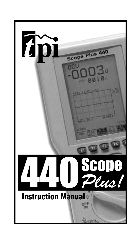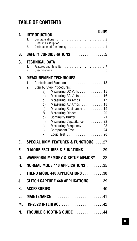# **TABLE OF CONTENTS**

| A. | <b>INTRODUCTION</b>                                                                                                                                                                                                                                                                                                                                                                                                         | page |
|----|-----------------------------------------------------------------------------------------------------------------------------------------------------------------------------------------------------------------------------------------------------------------------------------------------------------------------------------------------------------------------------------------------------------------------------|------|
|    | 1.<br>$\overline{2}$ .<br>Declaration of Conformity 4<br>3.                                                                                                                                                                                                                                                                                                                                                                 |      |
| B. | SAFETY CONSIDERATIONS 5                                                                                                                                                                                                                                                                                                                                                                                                     |      |
| C. | <b>TECHNICAL DATA</b><br>1.<br>$\overline{2}$ .                                                                                                                                                                                                                                                                                                                                                                             |      |
| D. | <b>MEASUREMENT TECHNIQUES</b><br>Controls and Functions 13<br>1.<br>2.<br>Step by Step Procedures:<br>Measuring DC Volts 15<br>a)<br>Measuring AC Volts 16<br>b)<br>Measuring DC Amps 17<br>C)<br>Measuring AC Amps 18<br>d)<br>Measuring Resistance 19<br>e)<br>Measuring Diodes 20<br>f)<br>Continuity Buzzer 21<br>g)<br>Measuring Capacitance 22<br>h)<br>Measuring Frequency 23<br>i)<br>Component Test 24<br>j)<br>k) |      |
| Ε. | <b>SPECIAL DMM FEATURES &amp; FUNCTIONS  .27</b>                                                                                                                                                                                                                                                                                                                                                                            |      |
| F. | D MODE FEATURES & FUNCTIONS 29                                                                                                                                                                                                                                                                                                                                                                                              |      |
| G. | WAVEFORM MEMORY & SETUP MEMORY 32                                                                                                                                                                                                                                                                                                                                                                                           |      |
| Н. | NORMAL MODE 440 APPLICATIONS 35                                                                                                                                                                                                                                                                                                                                                                                             |      |
| I. | <b>TREND MODE 440 APPLICATIONS</b> 38                                                                                                                                                                                                                                                                                                                                                                                       |      |
| J. | GLITCH CAPTURE 440 APPLICATIONS 39                                                                                                                                                                                                                                                                                                                                                                                          |      |
| K. | <b>ACCESSORIES</b>                                                                                                                                                                                                                                                                                                                                                                                                          |      |
| L  | MAINTENANCE                                                                                                                                                                                                                                                                                                                                                                                                                 |      |
| M. |                                                                                                                                                                                                                                                                                                                                                                                                                             |      |
| N. | TROUBLE SHOOTING GUIDE 44                                                                                                                                                                                                                                                                                                                                                                                                   |      |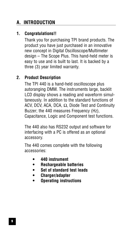# **A. INTRODUCTION**

### **1. Congratulations!!**

Thank you for purchasing TPI brand products. The product you have just purchased in an innovative new concept in Digital Oscilloscope/Multimeter design – The Scope Plus. This hand-held meter is easy to use and is built to last. It is backed by a three (3) year limited warranty.

### **2. Product Description**

The TPI 440 is a hand-held oscilloscope plus autoranging DMM. The instruments large, backlit LCD display shows a reading and waveform simultaneously. In addition to the standard functions of ACV, DCV, ACA, DCA,  $\Omega$ , Diode Test and Continuity Buzzer; the 440 measures Frequency (Hz), Capacitance, Logic and Component test functions.

The 440 also has RS232 output and software for interfacing with a PC is offered as an optional accessory.

The 440 comes complete with the following accessories:

- **440 instrument**
- **Rechargeable batteries**
- **Set of standard test leads**
- **Charger/adapter**
- **Operating instructions**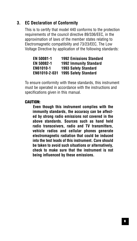### **3. EC Declaration of Conformity**

This is to certify that model 440 conforms to the protection requirements of the council directive 89/336/EEC, in the approximation of laws of the member states relating to Electromagnetic compatibility and 73/23/EEC, The Low Voltage Directive by application of the following standards:

| <b>EN 50081-1</b> | <b>1992 Emissions Standard</b> |
|-------------------|--------------------------------|
| <b>EN 50082-1</b> | <b>1992 Immunity Standard</b>  |
| <b>EN61010-1</b>  | <b>1993 Safety Standard</b>    |
| EN61010-2-031     | <b>1995 Safety Standard</b>    |

To ensure conformity with these standards, this instrument must be operated in accordance with the instructions and specifications given in this manual.

#### CAUTION:

**Even though this instrument complies with the immunity standards, the accuracy can be affected by strong radio emissions not covered in the above standards. Sources such as hand held radio transceivers, radio and TV transmitters, vehicle radios and cellular phones generate electromagnetic radiation that could be induced into the test leads of this instrument. Care should be taken to avoid such situations or alternatively, check to make sure that the instrument is not being influenced by these emissions.**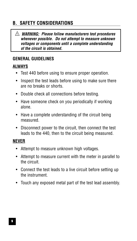# **B. SAFETY CONSIDERATIONS**

**WARNING: Please follow manufacturers test procedures !whenever possible. Do not attempt to measure unknown voltages or components until a complete understanding of the circuit is obtained.**

### **GENERAL GUIDELINES**

### **ALWAYS**

- Test 440 before using to ensure proper operation.
- Inspect the test leads before using to make sure there are no breaks or shorts.
- Double check all connections before testing.
- Have someone check on you periodically if working alone.
- Have a complete understanding of the circuit being measured.
- Disconnect power to the circuit, then connect the test leads to the 440, then to the circuit being measured.

### **NEVER**

- Attempt to measure unknown high voltages.
- Attempt to measure current with the meter in parallel to the circuit.
- Connect the test leads to a live circuit before setting up the instrument.
- Touch any exposed metal part of the test lead assembly.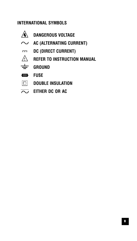### **INTERNATIONAL SYMBOLS**

- Â **DANGEROUS VOLTAGE**
- **AC (ALTERNATING CURRENT)**
- **DC (DIRECT CURRENT)**
- **REFER TO INSTRUCTION MANUAL !**
- 士 GROUND
- **FUSE**
- **DOUBLE INSULATION**
- **EITHER DC OR AC**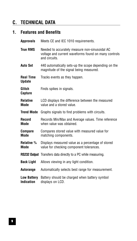# **C. TECHNICAL DATA**

# **1. Features and Benefits**

| <b>Approvals</b>                  | Meets CE and IEC 1010 requirements.                                                                                     |
|-----------------------------------|-------------------------------------------------------------------------------------------------------------------------|
| <b>True RMS</b>                   | Needed to accurately measure non-sinusoidal AC<br>voltage and current waveforms found on many controls<br>and circuits. |
| <b>Auto Set</b>                   | 440 automatically sets-up the scope depending on the<br>magnitude of the signal being measured.                         |
| <b>Real Time</b><br><b>Update</b> | Tracks events as they happen.                                                                                           |
| Glitch<br><b>Capture</b>          | Finds spikes in signals.                                                                                                |
| <b>Relative</b><br>Mode           | LCD displays the difference between the measured<br>value and a stored value.                                           |
| <b>Trend Mode</b>                 | Graphs signals to find problems with circuits.                                                                          |
| <b>Record</b><br>Mode             | Records Min/Max and Average values. Time reference<br>when value was obtained.                                          |
| <b>Compare</b><br>Mode            | Compares stored value with measured value for<br>matching components.                                                   |
| Relative %<br>Mode                | Displays measured value as a percentage of stored<br>value for checking component tolerances.                           |
|                                   | <b>RS232 Output</b> Transfers data directly to a PC while measuring.                                                    |
| <b>Back Light</b>                 | Allows viewing in any light condition.                                                                                  |
| Autorange                         | Automatically selects best range for measurement.                                                                       |
| <b>Low Battery</b><br>Indication  | Battery should be charged when battery symbol<br>displays on LCD.                                                       |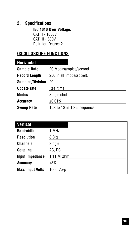### **2. Specifications**

**IEC 1010 Over Voltage:** CAT II - 1000V CAT III - 600V Pollution Degree 2

# **OSCILLOSCOPE FUNCTIONS**

| <b>Horizontal</b>       |                                  |
|-------------------------|----------------------------------|
| <b>Sample Rate</b>      | 20 Megasamples/second            |
| <b>Record Length</b>    | 256 in all modes(pixel).         |
| <b>Samples/Division</b> | 20                               |
| <b>Update rate</b>      | Real time.                       |
| Modes                   | Single shot                      |
| <b>Accuracy</b>         | ±0.01%                           |
| <b>Sweep Rate</b>       | $1\mu$ S to 1S in 1,2,5 sequence |

| <b>Vertical</b>         |            |
|-------------------------|------------|
| <b>Bandwidth</b>        | 1 MHz      |
| <b>Resolution</b>       | 8 Bits     |
| <b>Channels</b>         | Single     |
| <b>Coupling</b>         | AC, DC     |
| <b>Input Impedance</b>  | 1.11 M 0hm |
| <b>Accuracy</b>         | ±3%        |
| <b>Max. Input Volts</b> | 1000 Vp-p  |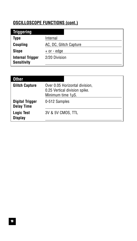# **OSCILLOSCOPE FUNCTIONS (cont.)**

| <b>Triggering</b>                             |                        |
|-----------------------------------------------|------------------------|
| Type                                          | Internal               |
| <b>Coupling</b>                               | AC, DC, Glitch Capture |
| Slope                                         | + or - edge            |
| <b>Internal Trigger</b><br><b>Sensitivity</b> | 2/20 Division          |

| <b>Other</b>                                |                                                                                      |
|---------------------------------------------|--------------------------------------------------------------------------------------|
| <b>Glitch Capture</b>                       | Over 0.05 Horizontal division,<br>0.25 Vertical division spike.<br>Minimum time 1µS. |
| <b>Digital Trigger</b><br><b>Delay Time</b> | 0-512 Samples                                                                        |
| <b>Logic Test</b><br><b>Display</b>         | 3V & 5V CMOS, TTL                                                                    |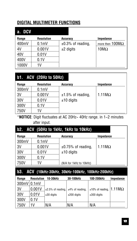# **DIGITAL MULTIMETER FUNCTIONS**

| a. DCV |                  |                      |                               |  |  |
|--------|------------------|----------------------|-------------------------------|--|--|
| Range  | Resolution       | Accuracy             | Impedance                     |  |  |
| 400mV  | 0.1 <sub>m</sub> | $±0.3\%$ of reading, | more then $100\text{M}\Omega$ |  |  |
| 4V     | 0.001V           | $±2$ digits          | $10M\Omega$                   |  |  |
| 40V    | 0.01V            |                      |                               |  |  |
| 400V   | 0.1V             |                      |                               |  |  |
| 1000V  | 1V               |                      |                               |  |  |

| $b1.$ ACV (20Hz to 50Hz) |                  |                      |                   |  |  |
|--------------------------|------------------|----------------------|-------------------|--|--|
| Range                    | Resolution       | <b>Accuracy</b>      | Impedance         |  |  |
| 300mV                    | 0.1 <sub>m</sub> |                      |                   |  |  |
| 3V                       | 0.001V           | $±1.5\%$ of reading. | $1.11$ M $\Omega$ |  |  |
| 30V                      | 0.01V            | $±10$ digits         |                   |  |  |
| 300V                     | 0.1V             |                      |                   |  |  |
| 750V                     | 1V               |                      |                   |  |  |

\***NOTICE**: Digit fluctuates at AC 20Hz~ 40Hz range. in 1~2 minutes after input.

| b2. ACV (50Hz to 1kHz, 1kHz to 10kHz) |                                     |                          |               |  |  |  |  |
|---------------------------------------|-------------------------------------|--------------------------|---------------|--|--|--|--|
| Range                                 | Resolution<br>Impedance<br>Accuracy |                          |               |  |  |  |  |
| 300mV                                 | 0.1 <sub>m</sub>                    |                          |               |  |  |  |  |
| 3V                                    | 0.001V                              | $\pm 0.75\%$ of reading, | $1.11M\Omega$ |  |  |  |  |
| 30V                                   | 0.01V                               | $±10$ digits             |               |  |  |  |  |
| 300V                                  | 0.1V                                |                          |               |  |  |  |  |
| 750V                                  | 1V                                  | (N/A for 1kHz to 10kHz)  |               |  |  |  |  |

### **b3. ACV (10kHz-30kHz, 30kHz-100kHz, 100kHz-200kHz)**

| Range         | Resolution | 10-30kHz                                      | 30-100kHz     | 100-200kHz          | Impedance               |
|---------------|------------|-----------------------------------------------|---------------|---------------------|-------------------------|
| $300mV$ 0.1mV |            |                                               |               |                     |                         |
| 3V            | 0.001V     | $\pm 2.5\%$ of reading, $\pm 4\%$ of reading, |               | $±10\%$ of reading, | 1.11 $\mathsf{M}\Omega$ |
| 30V           | 0.01V      | $±30$ digits                                  | $±200$ digits | $±300$ digits       |                         |
| 300V          | 0.1V       |                                               |               |                     |                         |
| 750V          | 1V         | N/A                                           | N/A           | N/A                 |                         |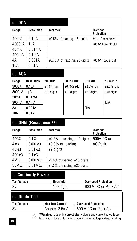| c. DCA             |                     |                                        |                        |
|--------------------|---------------------|----------------------------------------|------------------------|
| Range              | Resolution          | Accuracv                               | Overload<br>Protection |
| 400 <sub>U</sub> A | 0.1 <sub>µ</sub> A  | $\pm 0.5\%$ of reading, $\pm 5$ digits | Fuse*(fast blow)       |
| 4000µA             | 1µA                 |                                        | F600V, 0.5A, 31CM      |
| 40 <sub>m</sub> A  | 0.01 <sub>m</sub> A |                                        |                        |
| 400 <sub>m</sub> A | 0.1mA               |                                        |                        |
| 4Α                 | 0.001A              | $\pm$ 0.75% of reading, $\pm$ 5 digits | F600V. 10A. 31CM       |
| 10A                | 0.01A               |                                        |                        |

# **d. ACA**

| Range              | Resolution          | 20-50Hz       | 50Hz-3kHz     | 3-10kHz          | 10-30kHz         |
|--------------------|---------------------|---------------|---------------|------------------|------------------|
| 300 <sub>U</sub> A | 0.1 <sub>µ</sub> A  | $±1.0\%$ rdg, | $±0.75%$ rdg, | $\pm 2.0\%$ rdg. | $\pm 2.0\%$ rdg. |
| 3000µA             | 1uA                 | $±10$ digits  | $±10$ digits  | $±20$ digits     | $±40$ digits     |
| 30 <sub>m</sub> A  | 0.01 <sub>m</sub> A |               |               |                  |                  |
| 300 <sub>m</sub> A | 0.1 <sub>m</sub> A  |               |               |                  | N/A              |
| ЗA                 | 0.001A              |               |               | N/A              |                  |
| 10A                | 0.01A               |               |               |                  |                  |

# **e. OHM (Resistance,**Ω**)**

| Range        | Resolution     | Accuracy                                | Overload<br>Protection |
|--------------|----------------|-----------------------------------------|------------------------|
| $400\Omega$  | $0.1\Omega$    | $\pm$ 0. 3% of reading, $\pm$ 10 digits | 600V DC or             |
| $4k\Omega$   | $0.001k\Omega$ | $\pm 0.3\%$ of reading,                 | <b>AC Peak</b>         |
| $40k\Omega$  | $0.01k\Omega$  | $±2$ digits                             |                        |
| $400k\Omega$ | $0.1k\Omega$   |                                         |                        |
| $4M\Omega$   | $0.001M\Omega$ | $\pm$ 1.0% of reading, $\pm$ 10 digits  |                        |
| $30M\Omega$  | $0.01M\Omega$  | $\pm 1.5\%$ of reading, $\pm 20$ digits |                        |

# **f. Continuity Buzzer**

| Test Voltage | Threshold  | <b>Over Load Protection</b> |
|--------------|------------|-----------------------------|
| 3V           | 100 diaits | 600 V DC or Peak AC         |

# **g. Diode Test**

| Test Voltage | <b>Max Test Current</b> | <b>Over Load Protection</b> |
|--------------|-------------------------|-----------------------------|
| 3V           | Approx. 2.5mA           | 600 V DC or Peak AC         |

**\*Warning:** Use only correct size, voltage and current rated fuses. **The Marning:** Use only correct type and overvoltage category rating.<br>Test Leads: Use only correct type and overvoltage category rating.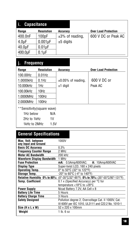# **i. Capacitance**

| Range              | Resolution | Accuracy              | <b>Over Load Protection</b> |
|--------------------|------------|-----------------------|-----------------------------|
| 400.0nF            | 100pF      | $\pm 3\%$ of reading. | 600 V DC or Peak AC         |
| 4.0 <sub>U</sub> F | $0.001$ uF | $±5$ digits           |                             |
| $40.0 \mu F$       | $0.01$ uF  |                       |                             |
| 400.0uF            | $0.1$ uF   |                       |                             |

# **j. Frequency**

| Range            | Resolution                 | Accuracy                 | <b>Over Load Protection</b> |
|------------------|----------------------------|--------------------------|-----------------------------|
| 100.00Hz         | $0.01$ Hz                  |                          |                             |
| 1.0000kHz        | $0.1$ Hz                   | $\pm 0.05\%$ of reading. | 600 V DC or                 |
| 10.000kHz        | 1Hz                        | $±1$ digit               | Peak AC                     |
| 100.00kHz        | 10Hz                       |                          |                             |
| 1.0000MHz        | 100Hz                      |                          |                             |
| 2.0000MHz        | 100Hz                      |                          |                             |
|                  | **Sensitivity(square wave) |                          |                             |
| 1Hz below<br>N/A |                            |                          |                             |
| 2Hz to 1kHz      | 1V                         |                          |                             |
| 1kHz to 2MHz     | 1.5V                       |                          |                             |

# **General Specifications**

| Max. Volt. between             | 1000V                                                                           |
|--------------------------------|---------------------------------------------------------------------------------|
| any Input and Ground           |                                                                                 |
| <b>Basic DC Accuracy</b>       | 0.3%                                                                            |
| <b>Frequency Counter Range</b> | 2 MHz                                                                           |
| <b>Meter AC Bandwidth</b>      | 200 kHz                                                                         |
| Waveform Display Bandwidth     | 1 MHz                                                                           |
| <b>Fuse Protection</b>         | mA: 0.5Amp/600VAC: A: 10Amp/600VAC                                              |
| Display Type                   | Super-twist LCD, 160 x 240 pixels                                               |
| Operating Temp.                | 0° to 50°C (32° to 122°F)                                                       |
| Storage Temp.                  | $-20^{\circ}$ to 60 $^{\circ}$ C ( $-4^{\circ}$ to 140 $^{\circ}$ F)            |
|                                | Relative Humidity 0% to 80%: (0°-35°C/32°-95°F) 0% to 70%: (35°-55°C/95°-131°F) |
| <b>Temp. Coefficient</b>       | 0.1 x (Specified Accuracy) per °C for                                           |
|                                | temperature <18 $^{\circ}$ C to >28 $^{\circ}$ C                                |
| <b>Power Supply</b>            | Nicad Battery 7.2V, AA Cell x 8                                                 |
| <b>Battery Life Time</b>       | 5 Hours                                                                         |
| <b>Battery Charge Time</b>     | 3 Hours                                                                         |
| <b>Safety Designed</b>         | Pollution degree 2, Overvoltage Cat. II 1000V, Cat.                             |
|                                | III 600V per IEC 1010, UL3111 and C22.2 No. 1010-1                              |
| Size (H x L x W)               | 52 x 220 x 100mm                                                                |
| Weight                         | $1$ lb. $6$ oz                                                                  |
|                                |                                                                                 |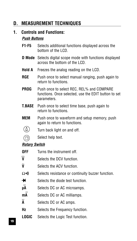# **D. MEASUREMENT TECHNIQUES**

### **1. Controls and Functions:**

#### **Push Buttons**

- **F1-F5** Selects additional functions displayed across the bottom of the LCD.
- **D Mode** Selects digital scope mode with functions displayed across the bottom of the LCD.
- **Hold A** Freezes the analog reading on the LCD.
- **RGE** Push once to select manual ranging, push again to return to functions.
- **PROG** Push once to select REC, REL% and COMPARE functions. Once selected, use the EDIT button to set parameters.
- **T.BASE** Push once to select time base, push again to return to functions.
- **MEM** Push once to waveform and setup memory, push again to return to functions.
	- Turn back light on and off. ➩
- Select help text.

### **Rotary Switch**

| OFF                                   | Turns the instrument off.                         |
|---------------------------------------|---------------------------------------------------|
| ÿ                                     | Selects the DCV function.                         |
| ŷ                                     | Selects the ACV function.                         |
| Ω∙▒                                   | Selects resistance or continuity buzzer function. |
| ₩                                     | Selects the diode test function.                  |
| μÃ                                    | Selects DC or AC microamps.                       |
| m $\overline{\widetilde{\mathsf{A}}}$ | Selects DC or AC milliamps.                       |
| $\overline{\widetilde{\mathbf{A}}}$   | Selects DC or AC amps.                            |
| Ηz                                    | Selects the Frequency function.                   |
| LOGIC                                 | Selects the Logic Test function.                  |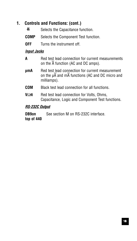### **1. Controls and Functions: (cont.)**

- 46 Selects the Capacitance function.
- **COMP** Selects the Component Test function.
- **OFF** Turns the instrument off.

#### **Input Jacks**

- **A** Red test lead connection for current measurements on the  $\overline{A}$  function (AC and DC amps).
- **µmA** Red test lead connection for current measurement on the  $\mu\widetilde{A}$  and  $m\widetilde{A}$  functions (AC and DC micro and milliamps).
- **COM** Black test lead connection for all functions.
- **VΩH** Red test lead connection for Volts, Ohms, Capacitance, Logic and Component Test functions.

#### **RS-232C Output**

**DB9on** See section M on RS-232C interface.

#### **top of 440**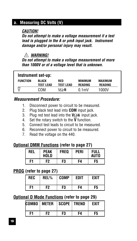### **a. Measuring DC Volts (V)**

#### **CAUTION!**

**Do not attempt to make a voltage measurement if a test lead is plugged in the A or µmA input jack. Instrument damage and/or personal injury may result.** 

### **WARNING! !**

**Do not attempt to make a voltage measurement of more than 1000V or of a voltage level that is unknown.** 

| Instrument set-up: |                  |                  |                  |                |  |  |
|--------------------|------------------|------------------|------------------|----------------|--|--|
| <b>FUNCTION</b>    | BLACK            | RED              | MINIMUM          | <b>MAXIMUM</b> |  |  |
|                    | <b>TEST LEAD</b> | <b>TEST LEAD</b> | <b>READING</b>   | <b>READING</b> |  |  |
| 17                 | COM              | VO∦              | 0.1 <sub>m</sub> | 1000V          |  |  |

### **Measurement Procedure:**

- 1. Disconnect power to circuit to be measured.
- 2. Plug black test lead into **COM** input jack.
- 3. Plug red test lead into the VΩ<sup>+</sup> input jack.
- 4. Set the rotary switch to the  $\overline{V}$  function.
- 5. Connect test leads to circuit to be measured.
- 6. Reconnect power to circuit to be measured.
- 7. Read the voltage on the 440.

### **Optional DMM Functions (refer to page 27)**

| REL | <b>PEAK</b><br><b>HOLD</b> | <b>FREO</b> | PERI | FULL<br><b>AUTO</b> |
|-----|----------------------------|-------------|------|---------------------|
| F1  | F2                         | F3          | F4   | F5                  |

#### **PROG (refer to page 27)**

| <b>REC</b> | REL% | <b>COMP</b> | EDIT | <b>EXIT</b> |
|------------|------|-------------|------|-------------|
| F1         | F2   | F3          | F4   | F5          |

| COMBO   METER   SCOPE   TREND |    |    | <b>FXIT</b> |
|-------------------------------|----|----|-------------|
| F2                            | F3 | F4 | F5          |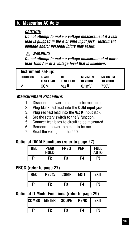#### **b. Measuring AC Volts**

#### **CAUTION!**

**Do not attempt to make a voltage measurement if a test lead is plugged in the A or µmA input jack. Instrument damage and/or personal injury may result.** 

#### **WARNING! !**

**Do not attempt to make a voltage measurement of more than 1000V or of a voltage level that is unknown.** 

| Instrument set-up: |                                  |                         |                    |                    |  |
|--------------------|----------------------------------|-------------------------|--------------------|--------------------|--|
| <b>FUNCTION</b>    | <b>BLACK</b><br><b>TEST LEAD</b> | RED<br><b>TEST LEAD</b> | MINIMUM<br>READING | MAXIMUM<br>READING |  |
|                    |                                  |                         |                    |                    |  |
| $\tilde{v}$        | COM                              | νΩ∙ι                    | 0.1 <sub>m</sub>   | 750V               |  |

#### **Measurement Procedure:**

- 1. Disconnect power to circuit to be measured.
- 2. Plug black test lead into the **COM** input jack.
- 3. Plug red test lead into the **V**Ω **I** input jack.
- 4. Set the rotary switch to the  $\widetilde{V}$  function.
- 5. Connect test leads to circuit to be measured.<br>6. Reconnect power to circuit to be measured.
- Reconnect power to circuit to be measured.
- 7. Read the voltage on the 440.

#### **Optional DMM Functions (refer to page 27)**

| RFI | PEAK<br><b>HOLD</b> | <b>FREO</b> | <b>PFRI</b> | FULL<br><b>AUTO</b> |
|-----|---------------------|-------------|-------------|---------------------|
| F1  | F2                  | F3          | -4          | F5                  |

#### **PROG (refer to page 27)**

| REC | REL% | <b>COMP</b> | <b>FDIT</b> | <b>FXIT</b> |
|-----|------|-------------|-------------|-------------|
| F1  | F2   | F3          | F4          | F5          |

|    | <b>COMBO</b> METER | SCOPE   TREND |    | <b>FXIT</b> |
|----|--------------------|---------------|----|-------------|
| F1 | F2                 | F3            | F4 |             |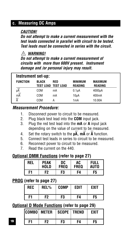#### **c. Measuring DC Amps**

#### **CAUTION!**

**Do not attempt to make a current measurement with the test leads connected in parallel with circuit to be tested. Test leads must be connected in series with the circuit.** 

#### **WARNING! !**

**Do not attempt to make a current measurement of circuits with more than 600V present. Instrument damage and /or personal injury may result.** 

|                                                 | Instrument set-up: |                         |                                  |                           |  |  |
|-------------------------------------------------|--------------------|-------------------------|----------------------------------|---------------------------|--|--|
| <b>FUNCTION</b>                                 | BLACK<br>TEST LEAD | RED<br><b>TEST LEAD</b> | <b>MINIMUM</b><br><b>READING</b> | <b>MAXIMUM</b><br>READING |  |  |
| $\frac{1}{\mu \widetilde{A}}$ m $\widetilde{A}$ | COM                | mA                      | 0.1 <sub>µ</sub> A               | 4000µA                    |  |  |
|                                                 | COM                | mA                      | 10uA                             | 400 <sub>m</sub> A        |  |  |
| $\overline{\widetilde{A}}$                      | COM                | А                       | 1mA                              | 10.00A                    |  |  |

#### **Measurement Procedure:**

- 1. Disconnect power to circuit to be measured.
- 2. Plug black test lead into the **COM** input jack.
- 3. Plug the red test lead into the **mA** or **A** input jack depending on the value of current to be measured.
- 4. Set the rotary switch to the **µA, mA** or **A** function.
- 5. Connect test leads in series to circuit to be measured.
- 6. Reconnect power to circuit to be measured.
- 7. Read the current on the 440.

#### **Optional DMM Functions (refer to page 27)**

| <b>RFI</b> | <b>PEAK</b> | DC   | AC          | FULL        |
|------------|-------------|------|-------------|-------------|
|            | HOLD        | FREO | <b>FREO</b> | <b>AUTO</b> |
| F1         | F2          | F3   | F4          | F5          |

#### **PROG (refer to page 27)**

| <b>REC</b> | REL% | <b>COMP</b> | EDIT | <b>FXIT</b> |
|------------|------|-------------|------|-------------|
| F1         | F2   | F3          | τ4   | F5          |

| <b>COMBO</b> METER | $\vert$ scope $\vert$ trend |    | FXIT |
|--------------------|-----------------------------|----|------|
|                    | F3                          | F4 | -5   |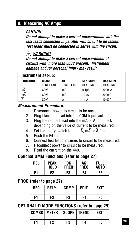#### **d. Measuring AC Amps**

#### **CAUTION!**

**Do not attempt to make a current measurement with the test leads connected in parallel with circuit to be tested. Test leads must be connected in series with the circuit.** 

#### **WARNING! !**

**Do not attempt to make a current measurement of circuits with more than 600V present. Instrument damage and /or personal injury may result.** 

| Instrument set-up:                                 |                                  |                         |                           |                                  |  |
|----------------------------------------------------|----------------------------------|-------------------------|---------------------------|----------------------------------|--|
| <b>FUNCTION</b>                                    | <b>BLACK</b><br><b>TEST LEAD</b> | RED<br><b>TEST LEAD</b> | <b>MINIMUM</b><br>READING | <b>MAXIMUM</b><br><b>READING</b> |  |
| $\frac{1}{\mu \widetilde{A}}$<br>m $\widetilde{A}$ | COM                              | mA                      | 0.1 <sub>µ</sub> A        | 3000µA                           |  |
|                                                    | COM                              | mA                      | 10uA                      | 300 <sub>m</sub> A               |  |
| $\overline{\widetilde{A}}$                         | COM                              | А                       | 1mA                       | 10.00A                           |  |

#### **Measurement Procedure:**

- 1. Disconnect power to circuit to be measured.
- 2. Plug black test lead into the **COM** input jack.
- 3. Plug the red test lead into the **mA** or **A** input jack depending on the value of current to be measured.
- 4. Set the rotary switch to the **µA, mA** or **A** function.
- 5. Push the **F4** button
- 6. Connect test leads in series to circuit to be measured.
- 7. Reconnect power to circuit to be measured.
- 8. Read the current on the 440.

#### **Optional DMM Functions (refer to page 27)**

| REL | PEAK        | DC          | AC          | full        |
|-----|-------------|-------------|-------------|-------------|
|     | <b>HOLD</b> | <b>FREQ</b> | <b>FREQ</b> | <b>AUTO</b> |
| F1  | F2          | F3          | F4          | F5          |

#### **PROG (refer to page 27)**

| <b>REC</b> | REL% | <b>COMP</b> | <b>EDIT</b> | <b>FXIT</b> |
|------------|------|-------------|-------------|-------------|
| F1         | F2   | F3          | τ4          | F5          |

**OPTIONAL D MODE FUNCTIONS (refer to page 29)**

|    | COMBO  METER | $\vert$ scope $\vert$ trend |    | <b>FXIT</b> |
|----|--------------|-----------------------------|----|-------------|
| F1 | F2           | F3                          | F4 | F5.         |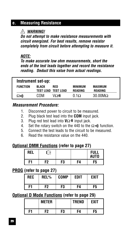#### **e. Measuring Resistance**

#### **WARNING! !**

**Do not attempt to make resistance measurements with circuit energized. For best results, remove resistor completely from circuit before attempting to measure it.** 

#### **NOTE:**

**To make accurate low ohm measurements, short the ends of the test leads together and record the resistance reading. Deduct this value from actual readings.**

| Instrument set-up: |              |                                   |                                  |                           |  |
|--------------------|--------------|-----------------------------------|----------------------------------|---------------------------|--|
| <b>FUNCTION</b>    | <b>BLACK</b> | RFD<br><b>TEST LEAD TEST LEAD</b> | <b>MINIMUM</b><br><b>READING</b> | MAXIMUM<br><b>READING</b> |  |
| $\Omega$ •∭        | COM          | ΨΩV                               | $0.1\Omega$                      | $30.00 \text{M}\Omega$    |  |

#### **Measurement Procedure:**

- 1. Disconnect power to circuit to be measured.
- 2. Plug black test lead into the **COM** input jack.
- 3. Plug red test lead into **V**Ω <sup>4</sup> input jack.
- 4. Set the rotary switch on the 440 to the  $\Omega \bullet \mathbb{D}$  function.
- 5. Connect the test leads to the circuit to be measured.
- 6. Read the resistance value on the 440.

### **Optional DMM Functions (refer to page 27)**

| FI |    |        |    | <b>FULL</b><br>AUTO |
|----|----|--------|----|---------------------|
| C4 | F2 | פ<br>ΰ | F4 | F5                  |

#### **PROG (refer to page 27)**

| <b>REC</b> | REL% | <b>COMP</b> | EDIT | <b>FXIT</b> |
|------------|------|-------------|------|-------------|
| F1         | F2   | F3          | F4   | F5          |

|    | <b>METER</b> |    | <b>TREND</b> | <b>EXIT</b> |
|----|--------------|----|--------------|-------------|
| E1 | F2           | F3 | F4           | F5          |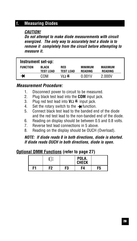#### **f. Measuring Diodes**

#### **CAUTION!**

**Do not attempt to make diode measurements with circuit energized. The only way to accurately test a diode is to remove it completely from the circuit before attempting to measure it.** 

| Instrument set-up: |                           |                   |                    |                    |  |
|--------------------|---------------------------|-------------------|--------------------|--------------------|--|
| FUNCTION           | BLACK<br><b>TEST LEAD</b> | RED<br>TEST LEAD  | MINIMUM<br>READING | MAXIMUM<br>READING |  |
| ₩                  | COM                       | VΩ <del>I</del> t | 0.001V             | 2.000V             |  |

#### **Measurement Procedure:**

- 1. Disconnect power to circuit to be measured.
- 2. Plug black test lead into the **COM** input jack.
- 3. Plug red test lead into **V**Ω <sup>4</sup> input jack.
- 4. Set the rotary switch to the  $\rightarrow$  function.
- 5. Connect black test lead to the banded end of the diode and the red test lead to the non-banded end of the diode.
- 6. Reading on display should be between 0.5 and 0.8 volts.
- 7. Reverse test lead connections in 5 above.
- 8. Reading on the display should be OUCH (Overload).

#### **NOTE: If diode reads 0 in both directions, diode is shorted. If diode reads OUCH in both directions, diode is open.**

|    | -  |    | POLA.<br><b>CHECK</b> |    |
|----|----|----|-----------------------|----|
| 51 | F2 | F3 | FA                    | -5 |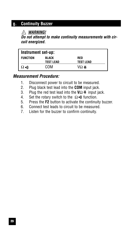### **g. Continuity Buzzer**

#### **WARNING! !**

**Do not attempt to make continuity measurements with circuit energized.** 

| Instrument set-up: |                           |                         |  |  |
|--------------------|---------------------------|-------------------------|--|--|
| <b>FUNCTION</b>    | BLACK<br><b>TEST LEAD</b> | RFD<br><b>TEST LEAD</b> |  |  |
| $\Omega \bullet$   | COM                       | $\sqrt{Q}$ if           |  |  |

#### **Measurement Procedure:**

- 1. Disconnect power to circuit to be measured.
- 2. Plug black test lead into the **COM** input jack.
- 3. Plug the red test lead into the **V**Ω **I** input jack.
- 4. Set the rotary switch to the  $\Omega$  *m*) function.
- 5. Press the **F2** button to activate the continuity buzzer.
- 6. Connect test leads to circuit to be measured.
- 7. Listen for the buzzer to confirm continuity.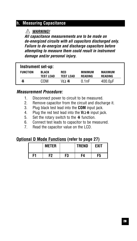### **h. Measuring Capacitance**

#### **WARNING! !**

**All capacitance measurements are to be made on de-energized circuits with all capacitors discharged only. Failure to de-energize and discharge capacitors before attempting to measure them could result in instrument damage and/or personal injury.**

| Instrument set-up: |                           |                         |                    |                           |  |
|--------------------|---------------------------|-------------------------|--------------------|---------------------------|--|
| <b>FUNCTION</b>    | BLACK<br><b>TEST LEAD</b> | RFD<br><b>TEST LEAD</b> | MINIMUM<br>READING | <b>MAXIMUM</b><br>READING |  |
| 16                 | COM                       | VΩ <del>I</del> €       | 0.1nF              | $400.0 \mu F$             |  |

#### **Measurement Procedure:**

- 1. Disconnect power to circuit to be measured.<br>2. Remove capacitor from the circuit and disch
- Remove capacitor from the circuit and discharge it.
- 3. Plug black test lead into the **COM** input jack.
- 4. Plug the red test lead into the **V**Ω input jack.
- 5. Set the rotary switch to the  $\frac{1}{2}$  function.
- 6. Connect test leads to capacitor to be measured.
- 7. Read the capacitor value on the LCD.

|    | <b>METER</b> |    | <b>TREND</b> | <b>FXIT</b> |
|----|--------------|----|--------------|-------------|
| E1 | F2           | F3 | -4           | F5          |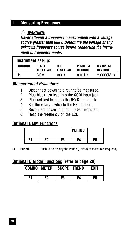### **i. Measuring Frequency**

#### **WARNING! !**

**Never attempt a frequency measurement with a voltage source greater than 600V. Determine the voltage of any unknown frequency source before connecting the instrument in frequency mode.**

| Instrument set-up: |              |           |         |                |  |
|--------------------|--------------|-----------|---------|----------------|--|
| <b>FUNCTION</b>    | <b>BLACK</b> | RED       | MINIMUM | MAXIMUM        |  |
|                    | TEST LEAD    | TEST LEAD | READING | <b>READING</b> |  |
| Hz                 | COM          | VO ∯      | 0.01Hz  | 2.0000MHz      |  |

#### **Measurement Procedure:**

- 1. Disconnect power to circuit to be measured.
- 2. Plug black test lead into the **COM** input jack.
- 3. Plug red test lead into the **V**Ω **i** input jack.
- 4. Set the rotary switch to the **Hz** function.
- 5. Reconnect power to circuit to be measured.
- 6. Read the frequency on the LCD.

#### **Optional DMM Functions**

|    |          | <b>PERIOD</b> |    |
|----|----------|---------------|----|
| F9 | ⊂י<br>-0 |               | מ- |

**F4** Period Push F4 to display the Period (1/time) of measured frequency.

|    | <b>COMBO</b> METER | SCOPE   TREND |    | <b>EXIT</b> |
|----|--------------------|---------------|----|-------------|
| F1 | F2                 | F3            | F4 | F5          |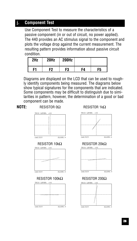#### **j. Component Test**

Use Component Test to measure the characteristics of a passive component (in or out of circuit, no power applied). The 440 provides an AC stimulus signal to the component and plots the voltage drop against the current measurement. The resulting pattern provides information about passive circuit condition.

| 2Hz | 20Hz | <b>200Hz</b> |    |    |
|-----|------|--------------|----|----|
| E1  | F2   | F3           | F4 | F5 |

Diagrams are displayed on the LCD that can be used to roughly identify components being measured. The diagrams below show typical signatures for the components that are indicated. Some components may be difficult to distinguish due to similarities in pattern, however, the determination of a good or bad component can be made.

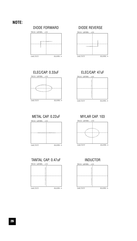#### **NOTE:**

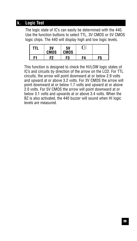### **k. Logic Test**

The logic state of IC's can easily be determined with the 440. Use the function buttons to select TTL, 3V CMOS or 5V CMOS logic chips. The 440 will display high and low logic levels.

| TTL | 3V<br><b>CMOS</b> | 5٧<br><b>CMOS</b> | $\overline{\phantom{0}}$<br>- |    |
|-----|-------------------|-------------------|-------------------------------|----|
| F1  | F2                | F3                | F4                            | -5 |

This function is designed to check the HI/LOW logic states of IC's and circuits by direction of the arrow on the LCD. For TTL circuits, the arrow will point downward at or below 2.9 volts and upward at or above 3.2 volts. For 3V CMOS the arrow will point downward at or below 1.7 volts and upward at or above 2.0 volts. For 5V CMOS the arrow will point downward at or below 3.1 volts and upwards at or above 3.4 volts. When the BZ is also activated, the 440 buzzer will sound when HI logic levels are measured.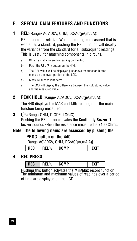# **E. SPECIAL DMM FEATURES AND FUNCTIONS**

### **1. REL:**{Range- ACV,DCV, OHM, DC/AC(µA,mA,A)}

REL stands for relative. When a reading is measured that is wanted as a standard, pushing the REL function will display the variance from the standard for all subsequent readings. This is useful for matching components in circuits.

- a) Obtain a stable reference reading on the 440.
- b) Push the REL (F1) button on the 440.
- c) The REL value will be displayed just above the function button menu on the lower portion of the LCD.
- d) Measure subsequent items.
- e) The LCD will display the difference between the REL stored value and the measured value.

#### **2. PEAK HOLD:**{Range- ACV,DCV, DC/AC(µA,mA,A)}

The 440 displays the MAX and MIN readings for the main function being measured.

**3. (1::**(Range-OHM, DIODE, LOGIC) Pushing the BZ button activates the **Continuity Buzzer**. The buzzer sounds when the resistance measured is <100 Ohms.

### **Note: The following items are accessed by pushing the**

**PROG button on the 440.**

{Range-ACV,DCV, OHM, DC/AC(µA,mA,A)}

| L<br>МF<br>$\cdot$ %<br>REC |
|-----------------------------|
|-----------------------------|

### **4. REC PRESS**

Pushing this button activates the **Min/Max** record function. The minimum and maximum values of readings over a period of time are displayed on the LCD.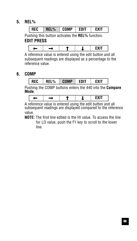#### **5. REL%**

|                                                  | i rec | $REL\%$ $COMP$ $EDIT$ |  |  | <b>FXIT</b> |  |
|--------------------------------------------------|-------|-----------------------|--|--|-------------|--|
| Pushing this button activates the REL% function. |       |                       |  |  |             |  |

**EDIT PRESS**

|--|

A reference value is entered using the edit button and all subsequent readings are displayed as a percentage to the reference value.

#### **6. COMP**



Pushing the COMP buttons enters the 440 into the **Compare Mode**.



A reference value is entered using the edit button and all subsequent readings are displayed compared to the reference value.

**NOTE:** The first line edited is the HI value. To access the line for LO value, push the F1 key to scroll to the lower line.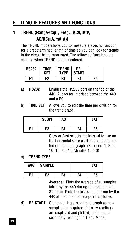# **F. D MODE FEATURES AND FUNCTIONS**

# **1. TREND {Range-Cap., Freg., ACV,DCV, AC/DC(µA,mA,A)}**

The TREND mode allows you to measure a specific function for a predetermined length of time so you can look for trends in the circuit being monitored. The following functions are enabled when TREND mode is entered.

| <b>IRS232</b> | TIME<br>SET | <b>TREND</b><br><b>TYPE</b> | RE-<br>START |    |
|---------------|-------------|-----------------------------|--------------|----|
| F1            | F2          | F3                          | F4           | F5 |

- a) **RS232** Enables the RS232 port on the top of the 440. Allows for interface between the 440 and a PC.
- b) **TIME SET** Allows you to edit the time per division for the trend graph.

|    | <b>SLOW</b> | <b>FAST</b> |    | <b>EXIT</b> |
|----|-------------|-------------|----|-------------|
| F1 | F2          | F3          | F4 | F5          |

Slow or Fast selects the interval to use on the horizontal scale as data points are plotted on the trend graph. (Seconds: 1, 2, 5, 10, 15, 30, 45; Minutes 1, 2, 3)

c) **TREND TYPE**

| AVG | <b>SAMPLE</b> |    |     | <b>FXIT</b> |
|-----|---------------|----|-----|-------------|
| F1  | F2            | F3 | F4. | F5          |

**Average:** Plots the average of all samples taken by the 440 during the plot interval. **Sample:** Plots the last sample taken by the 440 at the time the data point is plotted.

d) **RE-START** Starts plotting a new trend graph as new samples are acquired. Primary readings are displayed and plotted; there are no secondary readings in Trend Mode.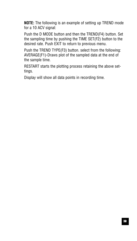**NOTE:** The following is an example of setting up TREND mode for a 10 ACV signal:

Push the D MODE button and then the TREND(F4) button. Set the sampling time by pushing the TIME SET(F2) button to the desired rate. Push EXIT to return to previous menu.

Push the TREND TYPE(F3) button. select from the following: AVERAGE(F1)-Draws plot of the sampled data at the end of the sample time.

RESTART starts the plotting process retaining the above settings.

Display will show all data points in recording time.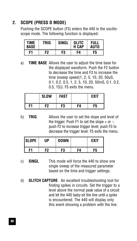### **2. SCOPE (PRESS D MODE)**

Pushing the SCOPE button (F3) enters the 440 in the oscilloscope mode. The following function is displayed:

| TIME<br><b>BASE</b> | TRIG | SINGL | GLITC<br><b>H CAP</b> | FULL<br><b>AUTO</b> |
|---------------------|------|-------|-----------------------|---------------------|
| F1                  | F2   | F3    | F4                    | F5                  |

a) **TIME BASE** Allows the user to adjust the time base for the displayed waveform. Push the F2 button to decrease the time and F3 to increase the time {sweep speed(1, 2, 5, 10, 20, 50uS, 0.1, 0.2, 0.5, 1, 2, 5, 10, 20, 50mS, 0.1, 0.2, 0.5, 1S)}. F5 exits the menu.

|    | <b>SLOW</b> | <b>FAST</b> |    | <b>EXIT</b> |
|----|-------------|-------------|----|-------------|
| F1 | F2          | F3          | FΔ | F5          |

b) **TRIG** Allows the user to set the slope and level of the trigger. Push F1 to set the slope  $+$  or  $-$ ; push F2 to increase trigger level; push F3 to decrease the trigger level. F5 exits the menu.

| <b>SLOPE</b> | UP. | <b>DOWN</b> |    | <b>FXIT</b> |
|--------------|-----|-------------|----|-------------|
| E1           | F2  | F3          | F4 | F5          |

- c) **SINGL** This mode will force the 440 to show one single sweep of the measured parameter based on the time and trigger settings.
- d) **GLITCH CAPTURE** An excellent troubleshooting tool for finding spikes in circuits. Set the trigger to a level above the normal peak value of a circuit and let the 440 baby-sit the line until a spike is encountered. The 440 will display only this event showing a problem with the line.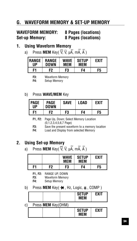# **G. WAVEFORM MEMORY & SET-UP MEMORY**

### **WAVEFORM MEMORY: 8 Pages (locations) Set-up Memory: 8 Pages (locations)**

#### **1. Using Waveform Memory**

a) Press **MEM** Key(  $\overline{V}$ ,  $\widetilde{V}$ ,  $\mu \widetilde{A}$ ,  $m \widetilde{A}$ ,  $\widetilde{A}$ )

| <b>I RANGE</b> | <b>RANGE</b> | WAVF | <b>SETUP</b> | <b>FXIT</b> |
|----------------|--------------|------|--------------|-------------|
| ПP             | <b>DOWN</b>  | MFM  | MFM          |             |
| F1.            | F2           | F3   | F4           | F5          |

**F3:** Waveform Memory

**Setup Memory** 

#### b) Press **WAVE/MEM** Key

| l page<br>UP | <b>PAGE</b><br><b>DOWN</b> | <b>SAVE</b> | LOAD | <b>FXIT</b> |
|--------------|----------------------------|-------------|------|-------------|
| F1           | F2                         | F3          | F4   | F5          |

- **F1, F2:** Page Up, Down; Select Memory Location (0,1,2,3,4,5,6,7 Page)
- **F3:** Save the present waveform to a memory location
- **F4:** Load and Display from selected Memory

#### **2. Using Set-up Memory**

a) Press **MEM** Key(  $\overline{V}$ ,  $\widetilde{V}$ ,  $\mu$  $\widetilde{A}$ ,  $m\widetilde{A}$ ,  $\widetilde{A}$ )

|    |    | <b>WAVE</b><br>MEM | <b>SETUP</b><br>MEM | FXIT |
|----|----|--------------------|---------------------|------|
| F1 | F2 | F3                 | F4.                 | F5   |

- **F1, F2:** RANGE UP, DOWN
- **F3:** Waveform Memory
- **F4:** Setup Memory
- b) Press **MEM**  $Key(\rightarrow H, Hz, Logic, H, COMP)$

|    |                           | <b>SETUP</b><br>MEM | <b>EXIT</b> |
|----|---------------------------|---------------------|-------------|
| C) | Press <b>MEM</b> Key(OHM) |                     |             |
|    |                           | <b>SETUP</b><br>MFM | <b>EXIT</b> |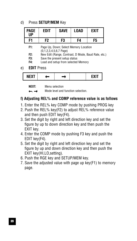d) Press **SETUP/MEM** Key

| <b>PAGE</b><br>UР | EDIT | <b>SAVE</b> | <b>LOAD</b> | <b>EXIT</b> |
|-------------------|------|-------------|-------------|-------------|
| F1                | F2   | F3          | F4          | F5          |

**F1:** Page Up, Down; Select Memory Location (0,1,2,3,4,5,6,7 Page)

**F2:** New Edit (Range, Contrast, D Mode, Baud Rate, etc.)

**F3:** Save the present setup status

**F4:** Load and setup from selected Memory

e) **EDIT** Press

|--|

**NEXT:** Menu selection

**←, →:** Mode level and function selection.

#### **f) Adjusting REL% and COMP reference value is as follows**

- 1. Enter the REL% key COMP mode by pushing PROG key
- 2. Push the REL% key(F2) to adjust REL% reference value and then push EDIT key(F4).
- 3. Set the digit by right and left direction key and set the figure by up to down direction key and then push the EXIT key.
- 4. Enter the COMP mode by pushing F3 key and push the EDIT key(F4).
- 5. Set the digit by right and left direction key and set the figure by up and down direction key and then push the EXIT key(HI,LO,setting).
- 6. Push the RGE key and SETUP/MEM key.
- 7. Save the adjusted value with page up key(F1) to memory page.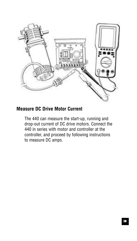

### **Measure DC Drive Motor Current**

The 440 can measure the start-up, running and drop-out current of DC drive motors. Connect the 440 in series with motor and controller at the controller, and proceed by following instructions to measure DC amps.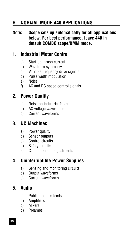# **H. NORMAL MODE 440 APPLICATIONS**

**Note: Scope sets up automatically for all applications below. For best performance, leave 440 in default COMBO scope/DMM mode.**

# **1. Industrial Motor Control**

- a) Start-up inrush current
- b) Waveform symmetry
- c) Variable frequency drive signals
- d) Pulse width modulation
- e) Noise
- f) AC and DC speed control signals

### **2. Power Quality**

- a) Noise on industrial feeds
- b) AC voltage waveshape
- c) Current waveforms

### **3. NC Machines**

- a) Power quality
- b) Sensor outputs
- c) Control circuits
- d) Safety circuits
- e) Calibration and adjustments

# **4. Uninterruptible Power Supplies**

- a) Sensing and monitoring circuits
- b) Output waveforms
- c) Current waveforms

### **5. Audio**

- a) Public address feeds
- b) Amplifiers
- c) Mixers
- d) Preamps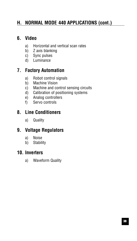# **H. NORMAL MODE 440 APPLICATIONS (cont.)**

### **6. Video**

- a) Horizontal and vertical scan rates
- b) Z axis blanking
- c) Sync pulses
- d) Luminance

# **7. Factory Automation**

- a) Robot control signals
- b) Machine Vision
- c) Machine and control sensing circuits
- d) Calibration of positioning systems
- e) Analog controllers
- f) Servo controls

## **8. Line Conditioners**

a) Quality

# **9. Voltage Regulators**

- a) Noise
- b) Stability

### **10. Inverters**

a) Waveform Quality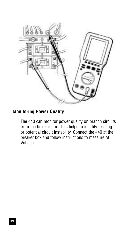

# **Monitoring Power Quality**

The 440 can monitor power quality on branch circuits from the breaker box. This helps to identify existing or potential circuit instability. Connect the 440 at the breaker box and follow instructions to measure AC Voltage.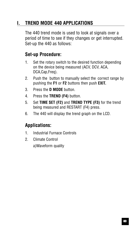# **I. TREND MODE 440 APPLICATIONS**

The 440 trend mode is used to look at signals over a period of time to see if they changes or get interrupted. Set-up the 440 as follows:

# **Set-up Procedure:**

- 1. Set the rotary switch to the desired function depending on the device being measured (ACV, DCV, ACA, DCA,Cap,Freq).
- 2. Push the button to manually select the correct range by pushing the **F1** or **F2** buttons then push **EXIT.**
- 3. Press the **D MODE** button.
- 4. Press the **TREND (F4)** button.
- 5. Set **TIME SET (F2)** and **TREND TYPE (F3)** for the trend being measured and RESTART (F4) press.
- 6. The 440 will display the trend graph on the LCD.

# **Applications:**

- 1. Industrial Furnace Controls
- 2. Climate Control

a)Waveform quality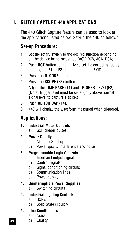# **J. GLITCH CAPTURE 440 APPLICATIONS**

The 440 Glitch Capture feature can be used to look at the applications listed below. Set-up the 440 as follows:

# **Set-up Procedure:**

- 1. Set the rotary switch to the desired function depending on the device being measured (ACV, DCV, ACA, DCA).
- 2. Push **RGE** button to manually select the correct range by pushing the **F1** or **F2** buttons then push **EXIT.**
- 3. Press the **D MODE** button.
- 4. Press the **SCOPE (F3)** button.
- 5. Adjust the **TIME BASE (F1)** and **TRIGGER LEVEL(F2).** (Note: Trigger level must be set slightly above normal signal level to capture a spike.)
- 6. Push **GLITCH CAP (F4)**.
- 6. 440 will display the waveform measured when triggered.

# **Applications:**

- **1. Industrial Motor Controls** a) SCR trigger pulses
- **2. Power Quality**
	- a) Machine Start-up
	- b) Power quality interference and noise

### **3. Programmable Logic Controls**

- a) Input and output signals
- b) Control signals
- c) Signal conditioning circuits
- d) Communication lines
- e) Power supply

### **4. Uninterruptible Power Supplies**

a) Switching circuits

# **5. Industrial Lighting Controls**

- a) SCR's
- b) Solid State circuitry

### **6. Line Conditioners**

- a) Noise
- b) Quality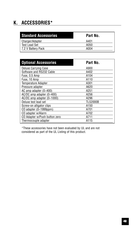# **K. ACCESSORIES\***

| <b>Standard Accessories</b> | Part No. |  |
|-----------------------------|----------|--|
| Charger/Adapter             | A401     |  |
| <b>Test Lead Set</b>        | A050     |  |
| 7.2 V Battery Pack          | A004     |  |
|                             |          |  |

| <b>Optional Accessories</b>   | Part No.        |
|-------------------------------|-----------------|
| Deluxe Carrying Case          | A900            |
| Software and RS232 Cable      | A402            |
| Fuse. 0.5 Amp                 | A104            |
| Fuse. 10 Amp                  | A110            |
| <b>Temperature Adapter</b>    | A301            |
| Pressure adapter              | A620            |
| AC amp adapter $(0-400)$      | A251            |
| AC/DC amp adapter (0~400)     | A256            |
| AC/DC amp adapter (0~1000)    | A296            |
| Deluxe test lead set          | <b>TLS2000B</b> |
| Screw-on alligator clips      | A150            |
| $CO$ adapter $(0-1999$ ppm)   | A701            |
| CO adapter w/Alarm            | A702            |
| CO Adapter w/Push button zero | A711            |
| Thermocouple adapter          | A115            |

\*These accessories have not been evaluated by UL and are not considered as part of the UL Listing of this product.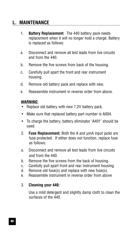# **L. MAINTENANCE**

- 1. **Battery Replacement:** The 440 battery pack needs replacement when it will no longer hold a charge. Battery is replaced as follows:
- a. Disconnect and remove all test leads from live circuits and from the 440.
- b. Remove the five screws from back of the housing.
- c. Carefully pull apart the front and rear instrument housing.
- d. Remove old battery pack and replace with new.
- e. Reassemble instrument in reverse order from above.

#### **WARNING:**

- Replace old battery with new 7.2V battery pack.
- Make sure that replaced battery part number is A004.
- To charge the battery, battery eliminator 'A401' should be used.
- 2. **Fuse Replacement:** Both the A and µmA input jacks are fuse protected. If either does not function, replace fuse as follows:
- a. Disconnect and remove all test leads from live circuits and from the 440.
- b. Remove the five screws from the back of housing.
- c. Carefully pull apart front and rear instrument housing.
- d. Remove old fuse(s) and replace with new fuse(s).
- e. Reassemble instrument in reverse order from above

#### 3. **Cleaning your 440:**

Use a mild detergent and slightly damp cloth to clean the surfaces of the 440.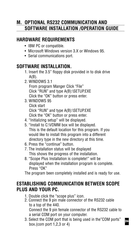# **M. OPTIONAL RS232 COMMUNICATION AND SOFTWARE INSTALLATION /OPERATION GUIDE**

# **HARDWARE REQUIREMENTS**

- IBM PC or compatible.
- Microsoft Windows version 3.X or Windows 95.
- Serial communications port.

# **SOFTWARE INSTALLATION.**

- 1. Insert the 3.5" floppy disk provided in to disk drive  $A(B)$ .
- 2. WINDOWS 3.1 From program Manger Click "File" Click "RUN" and type A(B):\SETUP.EXE Click the "OK" button or press enter.
- 3. WINDOWS 95 Click start Click "RUN" and type A(B):\SETUP.EXE Click the "OK" button or press enter.
- 4. "Initializing setup" will be displayed.
- 5. "Install to C:\VDMM box will be displayed. This is the default location for this program. If you would like to install this program into a different directory type in the new directory at this time.
- 6. Press the "continue" button.
- 7. The installation status will be displayed This shows the progress of the installation.
- 8. "Scope Plus Installation is complete!" will be displayed when the installation program is complete. Press "OK"

The program been completely installed and is ready for use.

# **ESTABLISHING COMMUNICATION BETWEEN SCOPE PLUS AND YOUR PC.**

- 1. Double click the "scope plus" icon.
- 2. Connect the 9 pin male connector of the RS232 cable to a top of the 440. Connect the 9 pin female connector of the RS232 cable to a serial COM port on your computer.
- 3. Select the COM port that is being used in the"COM ports" box.(com port 1,2,3 or 4)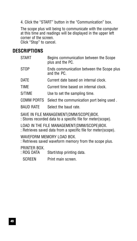4. Click the "START" button in the "Communication" box.

The scope plus will being to communicate with the computer at this time and readings will be displayed in the upper left corner of the screen.

Click "Stop" to cancel.

### **DESCRIPTIONS**

| <b>START</b>     | Begins communication between the Scope<br>plus and the PC. |
|------------------|------------------------------------------------------------|
| STOP             | Ends communication between the Scope plus<br>and the PC.   |
| DATE             | Current date based on internal clock.                      |
| TIME             | Current time based on internal clock.                      |
| S/TIME           | Use to set the sampling time.                              |
|                  | COMM PORTS Select the communication port being used.       |
| <b>BAUD RATE</b> | Select the baud rate.                                      |

SAVE IN FILE MANAGEMENT(DMM/SCOPE)BOX.

: Stores recorded data to a specific file for meter(scope).

LOAD IN THE FILE MANAGEMENT(DMM/SCOPE)BOX. : Retrieves saved data from a specific file for meter(scope).

WAVEFORM MEMORY LOAD BOX.

: Retrieves saved waveform memory from the scope plus.

PRINTER BOX.

: RDG DATA Start/stop printing data.

SCREEN Print main screen.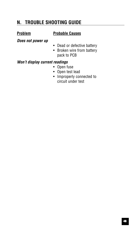# **N. TROUBLE SHOOTING GUIDE**

#### **Problem Probable Causes**

#### **Does not power up**

- Dead or defective battery
- Broken wire from battery pack to PCB

#### **Won't display current readings**

- Open fuse
- Open test lead
- Improperly connected to circuit under test